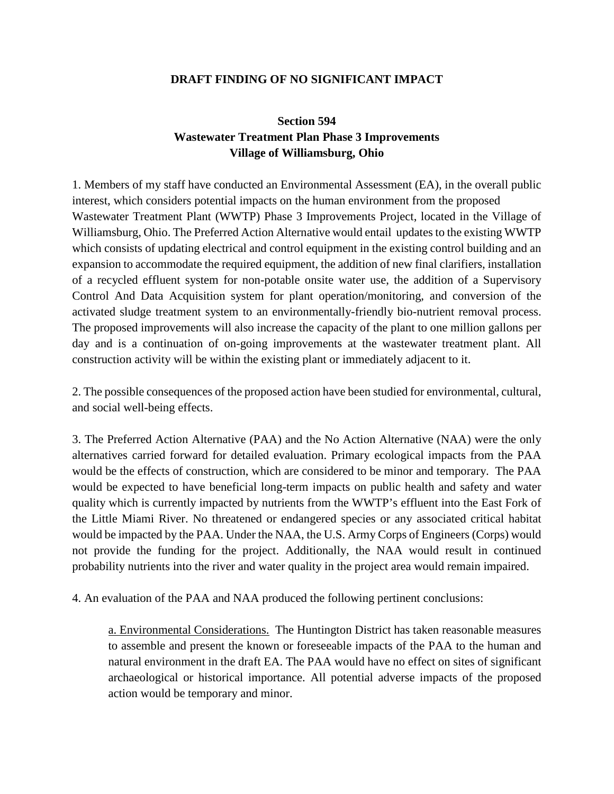## **DRAFT FINDING OF NO SIGNIFICANT IMPACT**

## **Section 594 Wastewater Treatment Plan Phase 3 Improvements Village of Williamsburg, Ohio**

1. Members of my staff have conducted an Environmental Assessment (EA), in the overall public interest, which considers potential impacts on the human environment from the proposed Wastewater Treatment Plant (WWTP) Phase 3 Improvements Project, located in the Village of Williamsburg, Ohio. The Preferred Action Alternative would entail updates to the existing WWTP which consists of updating electrical and control equipment in the existing control building and an expansion to accommodate the required equipment, the addition of new final clarifiers, installation of a recycled effluent system for non-potable onsite water use, the addition of a Supervisory Control And Data Acquisition system for plant operation/monitoring, and conversion of the activated sludge treatment system to an environmentally-friendly bio-nutrient removal process. The proposed improvements will also increase the capacity of the plant to one million gallons per day and is a continuation of on-going improvements at the wastewater treatment plant. All construction activity will be within the existing plant or immediately adjacent to it.

2. The possible consequences of the proposed action have been studied for environmental, cultural, and social well-being effects.

3. The Preferred Action Alternative (PAA) and the No Action Alternative (NAA) were the only alternatives carried forward for detailed evaluation. Primary ecological impacts from the PAA would be the effects of construction, which are considered to be minor and temporary. The PAA would be expected to have beneficial long-term impacts on public health and safety and water quality which is currently impacted by nutrients from the WWTP's effluent into the East Fork of the Little Miami River. No threatened or endangered species or any associated critical habitat would be impacted by the PAA. Under the NAA, the U.S. Army Corps of Engineers (Corps) would not provide the funding for the project. Additionally, the NAA would result in continued probability nutrients into the river and water quality in the project area would remain impaired.

4. An evaluation of the PAA and NAA produced the following pertinent conclusions:

a. Environmental Considerations. The Huntington District has taken reasonable measures to assemble and present the known or foreseeable impacts of the PAA to the human and natural environment in the draft EA. The PAA would have no effect on sites of significant archaeological or historical importance. All potential adverse impacts of the proposed action would be temporary and minor.